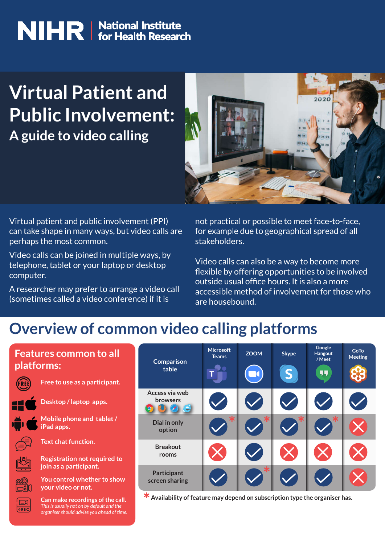# **NIHR** Mational Institute

## **Virtual Patient and Public Involvement: A guide to video calling**



Virtual patient and public involvement (PPI) can take shape in many ways, but video calls are perhaps the most common.

Video calls can be joined in multiple ways, by telephone, tablet or your laptop or desktop computer.

A researcher may prefer to arrange a video call (sometimes called a video conference) if it is

not practical or possible to meet face-to-face, for example due to geographical spread of all stakeholders.

Video calls can also be a way to become more flexible by offering opportunities to be involved outside usual office hours. It is also a more accessible method of involvement for those who are housebound.

#### **Overview of common video calling platforms**

#### **Features common to all platforms:**



**Free to use as a participant.**





**Mobile phone and tablet / Desktop / laptop apps.**



**Text chat function.**

**iPad apps.**

**Registration not required to join as a participant.**



**You control whether to show your video or not.**



**Can make recordings of the call.** *This is usually not on by default and the organiser should advise you ahead of time.*

| <b>Comparison</b><br>table             | <b>Microsoft</b><br><b>Teams</b> | <b>ZOOM</b> | <b>Skype</b><br>S | Google<br>Hangout<br>/Meet<br>44 | <b>GoTo</b><br><b>Meeting</b> |
|----------------------------------------|----------------------------------|-------------|-------------------|----------------------------------|-------------------------------|
| Access via web<br><b>browsers</b><br>e |                                  |             |                   |                                  |                               |
| Dial in only<br>option                 |                                  |             |                   |                                  |                               |
| <b>Breakout</b><br>rooms               |                                  |             |                   |                                  |                               |
| Participant<br>screen sharing          |                                  |             |                   |                                  |                               |

**Availability of feature may depend on subscription type the organiser has.**